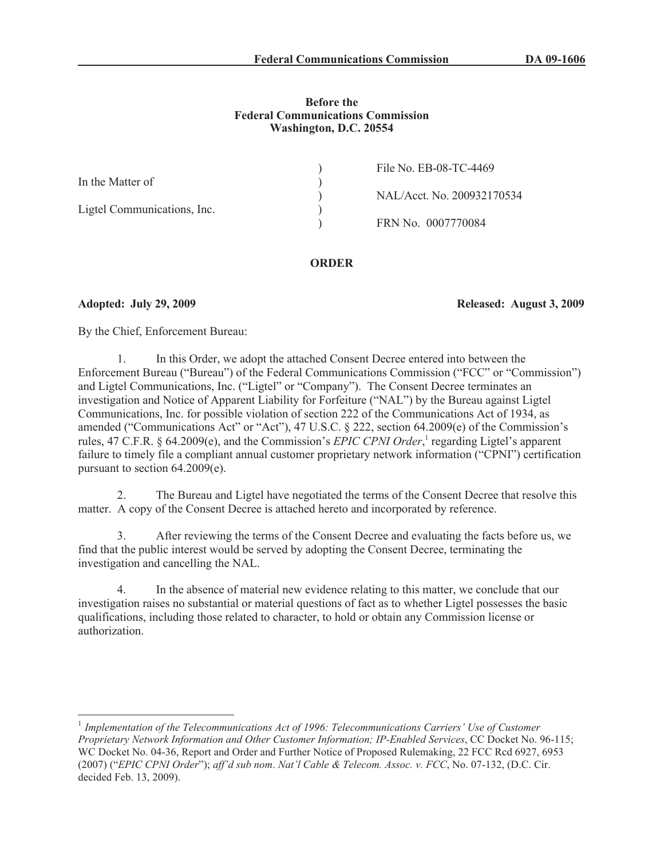## **Before the Federal Communications Commission Washington, D.C. 20554**

| File No. EB-08-TC-4469     |
|----------------------------|
|                            |
| NAL/Acct. No. 200932170534 |
|                            |
|                            |
|                            |

## **ORDER**

**Adopted: July 29, 2009 Released: August 3, 2009**

By the Chief, Enforcement Bureau:

1. In this Order, we adopt the attached Consent Decree entered into between the Enforcement Bureau ("Bureau") of the Federal Communications Commission ("FCC" or "Commission") and Ligtel Communications, Inc. ("Ligtel" or "Company"). The Consent Decree terminates an investigation and Notice of Apparent Liability for Forfeiture ("NAL") by the Bureau against Ligtel Communications, Inc. for possible violation of section 222 of the Communications Act of 1934, as amended ("Communications Act" or "Act"), 47 U.S.C. § 222, section 64.2009(e) of the Commission's rules, 47 C.F.R. § 64.2009(e), and the Commission's *EPIC CPNI Order*,<sup>1</sup> regarding Ligtel's apparent failure to timely file a compliant annual customer proprietary network information ("CPNI") certification pursuant to section 64.2009(e).

2. The Bureau and Ligtel have negotiated the terms of the Consent Decree that resolve this matter. A copy of the Consent Decree is attached hereto and incorporated by reference.

3. After reviewing the terms of the Consent Decree and evaluating the facts before us, we find that the public interest would be served by adopting the Consent Decree, terminating the investigation and cancelling the NAL.

In the absence of material new evidence relating to this matter, we conclude that our investigation raises no substantial or material questions of fact as to whether Ligtel possesses the basic qualifications, including those related to character, to hold or obtain any Commission license or authorization.

<sup>&</sup>lt;sup>1</sup> Implementation of the Telecommunications Act of 1996: Telecommunications Carriers' Use of Customer *Proprietary Network Information and Other Customer Information; IP-Enabled Services*, CC Docket No. 96-115; WC Docket No. 04-36, Report and Order and Further Notice of Proposed Rulemaking, 22 FCC Rcd 6927, 6953 (2007) ("*EPIC CPNI Order*"); *aff'd sub nom*. *Nat'l Cable & Telecom. Assoc. v. FCC*, No. 07-132, (D.C. Cir. decided Feb. 13, 2009).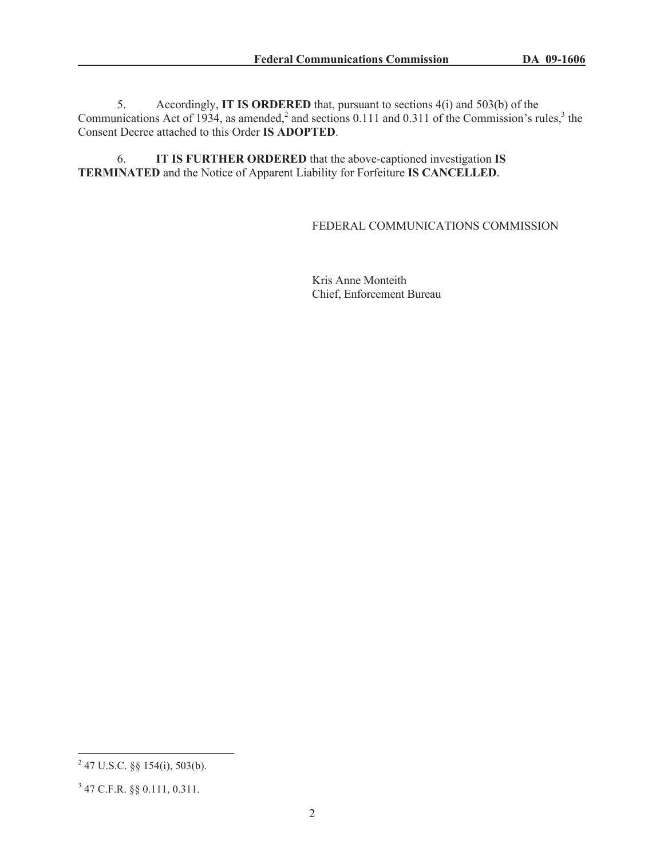5. Accordingly, **IT IS ORDERED** that, pursuant to sections 4(i) and 503(b) of the Communications Act of 1934, as amended,<sup>2</sup> and sections 0.111 and 0.311 of the Commission's rules,<sup>3</sup> the Consent Decree attached to this Order **IS ADOPTED**.

6. **IT IS FURTHER ORDERED** that the above-captioned investigation **IS TERMINATED** and the Notice of Apparent Liability for Forfeiture **IS CANCELLED**.

## FEDERAL COMMUNICATIONS COMMISSION

Kris Anne Monteith Chief, Enforcement Bureau

 $^{2}$  47 U.S.C. §§ 154(i), 503(b).

<sup>3</sup> 47 C.F.R. §§ 0.111, 0.311.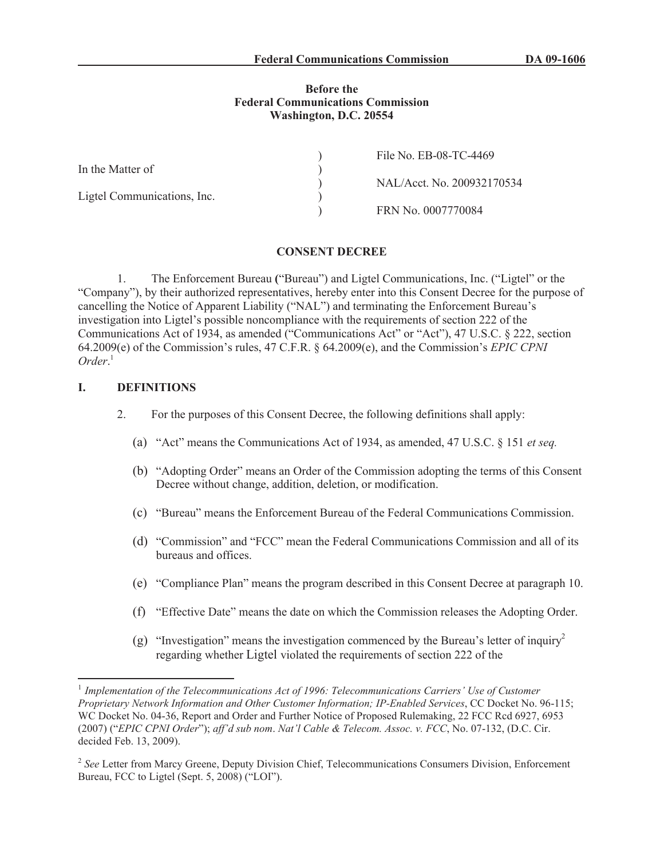### **Before the Federal Communications Commission Washington, D.C. 20554**

|                             | File No. EB-08-TC-4469     |
|-----------------------------|----------------------------|
| In the Matter of            |                            |
|                             | NAL/Acct. No. 200932170534 |
| Ligtel Communications, Inc. |                            |
|                             | FRN No. 0007770084         |

### **CONSENT DECREE**

1. The Enforcement Bureau **(**"Bureau") and Ligtel Communications, Inc. ("Ligtel" or the "Company"), by their authorized representatives, hereby enter into this Consent Decree for the purpose of cancelling the Notice of Apparent Liability ("NAL") and terminating the Enforcement Bureau's investigation into Ligtel's possible noncompliance with the requirements of section 222 of the Communications Act of 1934, as amended ("Communications Act" or "Act"), 47 U.S.C. § 222, section 64.2009(e) of the Commission's rules, 47 C.F.R. § 64.2009(e), and the Commission's *EPIC CPNI Order*. 1

### **I. DEFINITIONS**

- 2. For the purposes of this Consent Decree, the following definitions shall apply:
	- (a) "Act" means the Communications Act of 1934, as amended, 47 U.S.C. § 151 *et seq.*
	- (b) "Adopting Order" means an Order of the Commission adopting the terms of this Consent Decree without change, addition, deletion, or modification.
	- (c) "Bureau" means the Enforcement Bureau of the Federal Communications Commission.
	- (d) "Commission" and "FCC" mean the Federal Communications Commission and all of its bureaus and offices.
	- (e) "Compliance Plan" means the program described in this Consent Decree at paragraph 10.
	- (f) "Effective Date" means the date on which the Commission releases the Adopting Order.
	- (g) "Investigation" means the investigation commenced by the Bureau's letter of inquiry<sup>2</sup> regarding whether Ligtel violated the requirements of section 222 of the

<sup>&</sup>lt;sup>1</sup> Implementation of the Telecommunications Act of 1996: Telecommunications Carriers' Use of Customer *Proprietary Network Information and Other Customer Information; IP-Enabled Services*, CC Docket No. 96-115; WC Docket No. 04-36, Report and Order and Further Notice of Proposed Rulemaking, 22 FCC Rcd 6927, 6953 (2007) ("*EPIC CPNI Order*"); *aff'd sub nom*. *Nat'l Cable & Telecom. Assoc. v. FCC*, No. 07-132, (D.C. Cir. decided Feb. 13, 2009).

<sup>&</sup>lt;sup>2</sup> See Letter from Marcy Greene, Deputy Division Chief, Telecommunications Consumers Division, Enforcement Bureau, FCC to Ligtel (Sept. 5, 2008) ("LOI").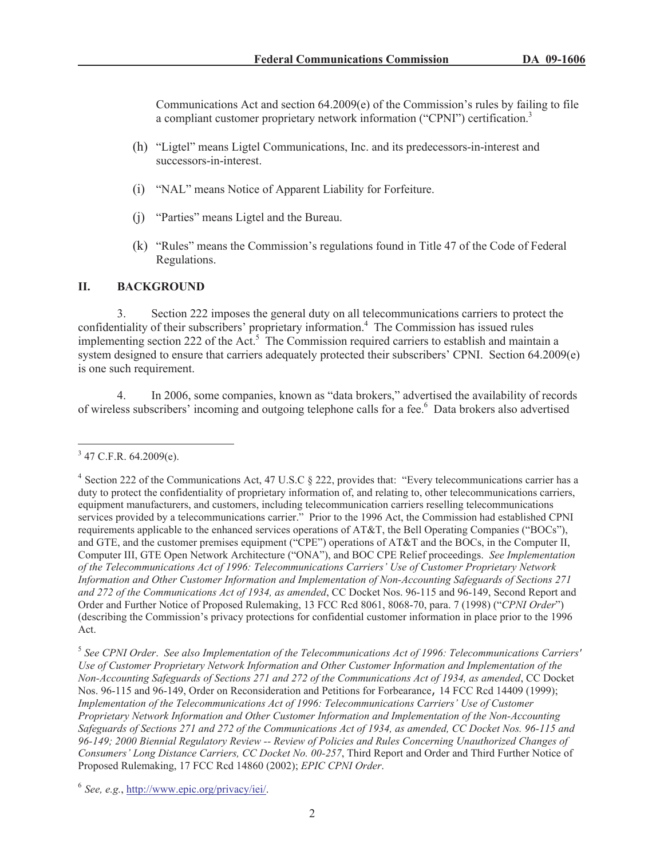Communications Act and section  $64.2009(e)$  of the Commission's rules by failing to file a compliant customer proprietary network information ("CPNI") certification.<sup>3</sup>

- (h) "Ligtel" means Ligtel Communications, Inc. and its predecessors-in-interest and successors-in-interest.
- (i) "NAL" means Notice of Apparent Liability for Forfeiture.
- (j) "Parties" means Ligtel and the Bureau.
- (k) "Rules" means the Commission's regulations found in Title 47 of the Code of Federal Regulations.

## **II. BACKGROUND**

3. Section 222 imposes the general duty on all telecommunications carriers to protect the confidentiality of their subscribers' proprietary information.<sup>4</sup> The Commission has issued rules implementing section 222 of the Act.<sup>5</sup> The Commission required carriers to establish and maintain a system designed to ensure that carriers adequately protected their subscribers' CPNI. Section 64.2009(e) is one such requirement.

4. In 2006, some companies, known as "data brokers," advertised the availability of records of wireless subscribers' incoming and outgoing telephone calls for a fee.<sup>6</sup> Data brokers also advertised

 $3$  47 C.F.R. 64.2009(e).

<sup>&</sup>lt;sup>4</sup> Section 222 of the Communications Act, 47 U.S.C § 222, provides that: "Every telecommunications carrier has a duty to protect the confidentiality of proprietary information of, and relating to, other telecommunications carriers, equipment manufacturers, and customers, including telecommunication carriers reselling telecommunications services provided by a telecommunications carrier." Prior to the 1996 Act, the Commission had established CPNI requirements applicable to the enhanced services operations of AT&T, the Bell Operating Companies ("BOCs"), and GTE, and the customer premises equipment ("CPE") operations of AT&T and the BOCs, in the Computer II, Computer III, GTE Open Network Architecture ("ONA"), and BOC CPE Relief proceedings. *See Implementation of the Telecommunications Act of 1996: Telecommunications Carriers' Use of Customer Proprietary Network Information and Other Customer Information and Implementation of Non-Accounting Safeguards of Sections 271 and 272 of the Communications Act of 1934, as amended*, CC Docket Nos. 96-115 and 96-149, Second Report and Order and Further Notice of Proposed Rulemaking, 13 FCC Rcd 8061, 8068-70, para. 7 (1998) ("*CPNI Order*") (describing the Commission's privacy protections for confidential customer information in place prior to the 1996 Act.

<sup>5</sup> *See CPNI Order*. *See also Implementation of the Telecommunications Act of 1996: Telecommunications Carriers' Use of Customer Proprietary Network Information and Other Customer Information and Implementation of the Non-Accounting Safeguards of Sections 271 and 272 of the Communications Act of 1934, as amended*, CC Docket Nos. 96-115 and 96-149, Order on Reconsideration and Petitions for Forbearance, 14 FCC Rcd 14409 (1999); *Implementation of the Telecommunications Act of 1996: Telecommunications Carriers' Use of Customer Proprietary Network Information and Other Customer Information and Implementation of the Non-Accounting Safeguards of Sections 271 and 272 of the Communications Act of 1934, as amended, CC Docket Nos. 96-115 and 96-149; 2000 Biennial Regulatory Review -- Review of Policies and Rules Concerning Unauthorized Changes of Consumers' Long Distance Carriers, CC Docket No. 00-257*, Third Report and Order and Third Further Notice of Proposed Rulemaking, 17 FCC Rcd 14860 (2002); *EPIC CPNI Order*.

<sup>6</sup> *See, e.g.*, http://www.epic.org/privacy/iei/.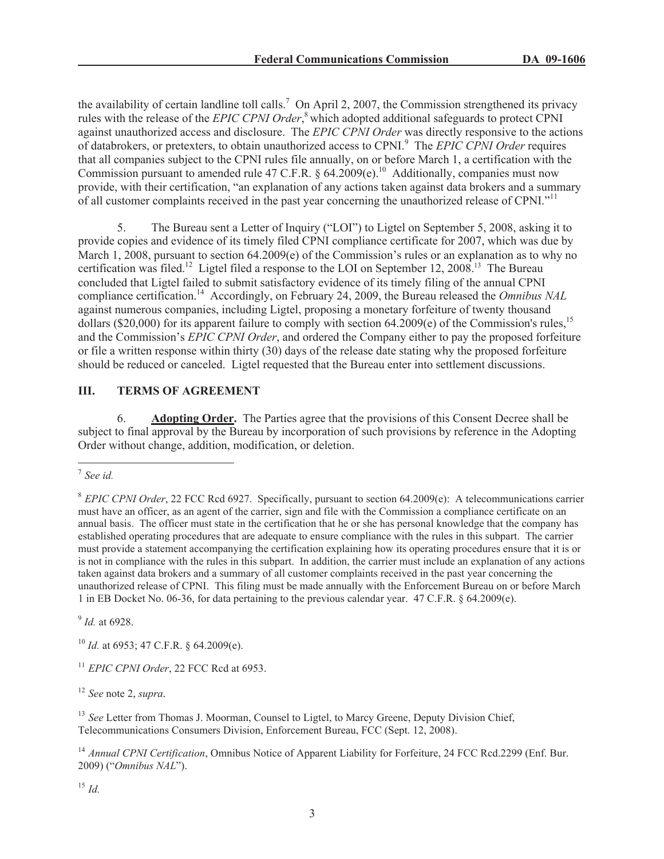the availability of certain landline toll calls.<sup>7</sup> On April 2, 2007, the Commission strengthened its privacy rules with the release of the *EPIC CPNI Order*, <sup>8</sup> which adopted additional safeguards to protect CPNI against unauthorized access and disclosure. The *EPIC CPNI Order* was directly responsive to the actions of databrokers, or pretexters, to obtain unauthorized access to CPNI.<sup>9</sup> The *EPIC CPNI Order* requires that all companies subject to the CPNI rules file annually, on or before March 1, a certification with the Commission pursuant to amended rule 47 C.F.R. § 64.2009(e).<sup>10</sup> Additionally, companies must now provide, with their certification, "an explanation of any actions taken against data brokers and a summary of all customer complaints received in the past year concerning the unauthorized release of CPNI."<sup>11</sup>

5. The Bureau sent a Letter of Inquiry ("LOI") to Ligtel on September 5, 2008, asking it to provide copies and evidence of its timely filed CPNI compliance certificate for 2007, which was due by March 1, 2008, pursuant to section 64.2009(e) of the Commission's rules or an explanation as to why no certification was filed.<sup>12</sup> Ligtel filed a response to the LOI on September 12, 2008.<sup>13</sup> The Bureau concluded that Ligtel failed to submit satisfactory evidence of its timely filing of the annual CPNI compliance certification.<sup>14</sup> Accordingly, on February 24, 2009, the Bureau released the *Omnibus NAL* against numerous companies, including Ligtel, proposing a monetary forfeiture of twenty thousand dollars (\$20,000) for its apparent failure to comply with section  $64.2009(e)$  of the Commission's rules,<sup>15</sup> and the Commission's *EPIC CPNI Order*, and ordered the Company either to pay the proposed forfeiture or file a written response within thirty (30) days of the release date stating why the proposed forfeiture should be reduced or canceled. Ligtel requested that the Bureau enter into settlement discussions.

# **III. TERMS OF AGREEMENT**

6. **Adopting Order.** The Parties agree that the provisions of this Consent Decree shall be subject to final approval by the Bureau by incorporation of such provisions by reference in the Adopting Order without change, addition, modification, or deletion.

9 *Id.* at 6928.

<sup>10</sup> *Id.* at 6953; 47 C.F.R. § 64.2009(e).

<sup>11</sup> *EPIC CPNI Order*, 22 FCC Rcd at 6953.

<sup>12</sup> *See* note 2, *supra.*

<sup>13</sup> See Letter from Thomas J. Moorman, Counsel to Ligtel, to Marcy Greene, Deputy Division Chief, Telecommunications Consumers Division, Enforcement Bureau, FCC (Sept. 12, 2008).

<sup>14</sup> Annual CPNI Certification, Omnibus Notice of Apparent Liability for Forfeiture, 24 FCC Rcd.2299 (Enf. Bur. 2009) ("*Omnibus NAL*").

<sup>15</sup> *Id.*

<sup>7</sup> *See id.*

<sup>&</sup>lt;sup>8</sup> *EPIC CPNI Order*, 22 FCC Rcd 6927. Specifically, pursuant to section 64.2009(e): A telecommunications carrier must have an officer, as an agent of the carrier, sign and file with the Commission a compliance certificate on an annual basis. The officer must state in the certification that he or she has personal knowledge that the company has established operating procedures that are adequate to ensure compliance with the rules in this subpart. The carrier must provide a statement accompanying the certification explaining how its operating procedures ensure that it is or is not in compliance with the rules in this subpart. In addition, the carrier must include an explanation of any actions taken against data brokers and a summary of all customer complaints received in the past year concerning the unauthorized release of CPNI. This filing must be made annually with the Enforcement Bureau on or before March 1 in EB Docket No. 06-36, for data pertaining to the previous calendar year. 47 C.F.R. § 64.2009(e).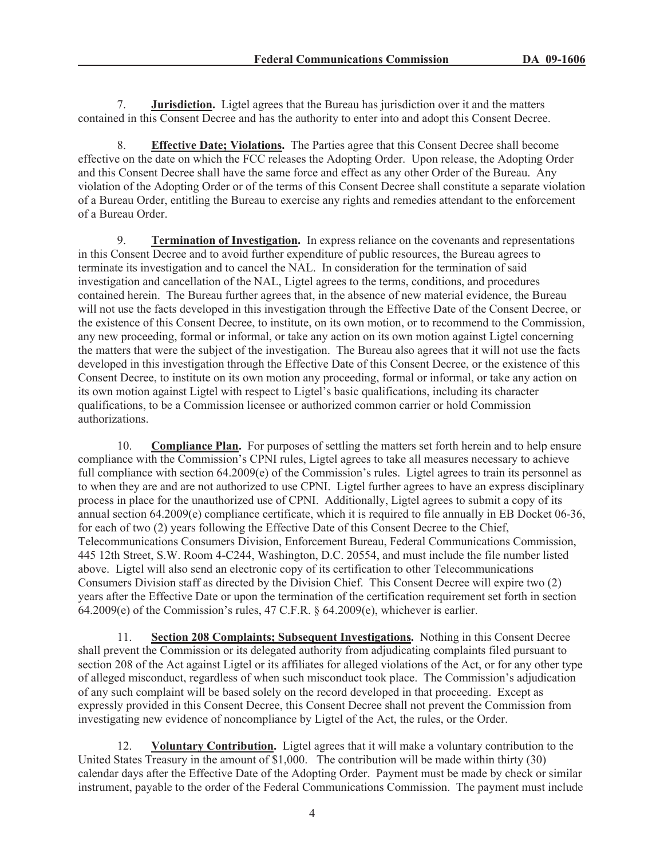7. **Jurisdiction.** Ligtel agrees that the Bureau has jurisdiction over it and the matters contained in this Consent Decree and has the authority to enter into and adopt this Consent Decree.

8. **Effective Date; Violations.** The Parties agree that this Consent Decree shall become effective on the date on which the FCC releases the Adopting Order. Upon release, the Adopting Order and this Consent Decree shall have the same force and effect as any other Order of the Bureau. Any violation of the Adopting Order or of the terms of this Consent Decree shall constitute a separate violation of a Bureau Order, entitling the Bureau to exercise any rights and remedies attendant to the enforcement of a Bureau Order.

9. **Termination of Investigation.** In express reliance on the covenants and representations in this Consent Decree and to avoid further expenditure of public resources, the Bureau agrees to terminate its investigation and to cancel the NAL. In consideration for the termination of said investigation and cancellation of the NAL, Ligtel agrees to the terms, conditions, and procedures contained herein. The Bureau further agrees that, in the absence of new material evidence, the Bureau will not use the facts developed in this investigation through the Effective Date of the Consent Decree, or the existence of this Consent Decree, to institute, on its own motion, or to recommend to the Commission, any new proceeding, formal or informal, or take any action on its own motion against Ligtel concerning the matters that were the subject of the investigation. The Bureau also agrees that it will not use the facts developed in this investigation through the Effective Date of this Consent Decree, or the existence of this Consent Decree, to institute on its own motion any proceeding, formal or informal, or take any action on its own motion against Ligtel with respect to Ligtel's basic qualifications, including its character qualifications, to be a Commission licensee or authorized common carrier or hold Commission authorizations.

10. **Compliance Plan.** For purposes of settling the matters set forth herein and to help ensure compliance with the Commission's CPNI rules, Ligtel agrees to take all measures necessary to achieve full compliance with section 64.2009(e) of the Commission's rules. Ligtel agrees to train its personnel as to when they are and are not authorized to use CPNI. Ligtel further agrees to have an express disciplinary process in place for the unauthorized use of CPNI. Additionally, Ligtel agrees to submit a copy of its annual section 64.2009(e) compliance certificate, which it is required to file annually in EB Docket 06-36, for each of two (2) years following the Effective Date of this Consent Decree to the Chief, Telecommunications Consumers Division, Enforcement Bureau, Federal Communications Commission, 445 12th Street, S.W. Room 4-C244, Washington, D.C. 20554, and must include the file number listed above. Ligtel will also send an electronic copy of its certification to other Telecommunications Consumers Division staff as directed by the Division Chief. This Consent Decree will expire two (2) years after the Effective Date or upon the termination of the certification requirement set forth in section 64.2009(e) of the Commission's rules, 47 C.F.R. § 64.2009(e), whichever is earlier.

11. **Section 208 Complaints; Subsequent Investigations.** Nothing in this Consent Decree shall prevent the Commission or its delegated authority from adjudicating complaints filed pursuant to section 208 of the Act against Ligtel or its affiliates for alleged violations of the Act, or for any other type of alleged misconduct, regardless of when such misconduct took place. The Commission's adjudication of any such complaint will be based solely on the record developed in that proceeding. Except as expressly provided in this Consent Decree, this Consent Decree shall not prevent the Commission from investigating new evidence of noncompliance by Ligtel of the Act, the rules, or the Order.

12. **Voluntary Contribution.** Ligtel agrees that it will make a voluntary contribution to the United States Treasury in the amount of \$1,000. The contribution will be made within thirty (30) calendar days after the Effective Date of the Adopting Order. Payment must be made by check or similar instrument, payable to the order of the Federal Communications Commission. The payment must include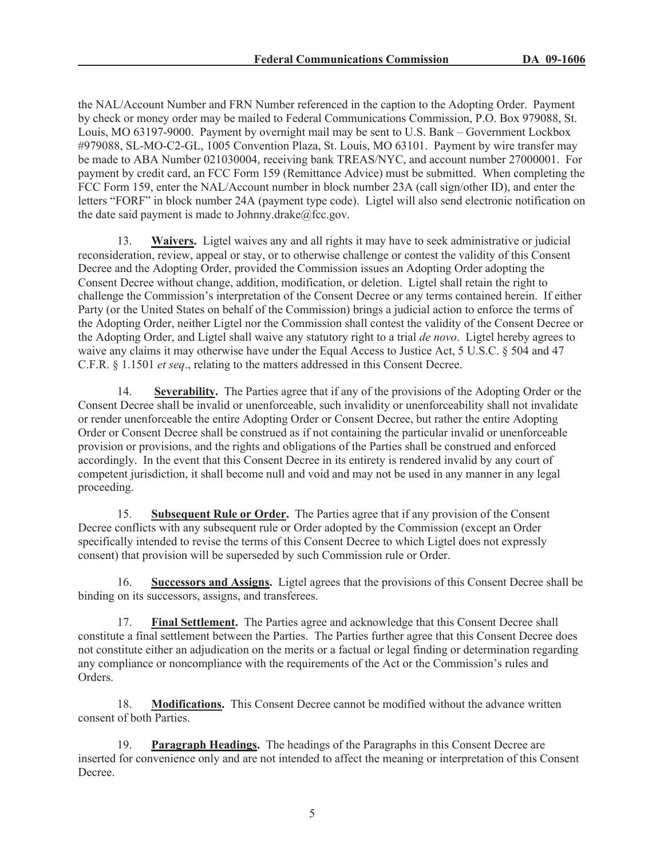the NAL/Account Number and FRN Number referenced in the caption to the Adopting Order. Payment by check or money order may be mailed to Federal Communications Commission, P.O. Box 979088, St. Louis, MO 63197-9000. Payment by overnight mail may be sent to U.S. Bank – Government Lockbox #979088, SL-MO-C2-GL, 1005 Convention Plaza, St. Louis, MO 63101. Payment by wire transfer may be made to ABA Number 021030004, receiving bank TREAS/NYC, and account number 27000001. For payment by credit card, an FCC Form 159 (Remittance Advice) must be submitted. When completing the FCC Form 159, enter the NAL/Account number in block number 23A (call sign/other ID), and enter the letters "FORF" in block number 24A (payment type code). Ligtel will also send electronic notification on the date said payment is made to Johnny.drake $@$ fcc.gov.

13. **Waivers.** Ligtel waives any and all rights it may have to seek administrative or judicial reconsideration, review, appeal or stay, or to otherwise challenge or contest the validity of this Consent Decree and the Adopting Order, provided the Commission issues an Adopting Order adopting the Consent Decree without change, addition, modification, or deletion. Ligtel shall retain the right to challenge the Commission's interpretation of the Consent Decree or any terms contained herein. If either Party (or the United States on behalf of the Commission) brings a judicial action to enforce the terms of the Adopting Order, neither Ligtel nor the Commission shall contest the validity of the Consent Decree or the Adopting Order, and Ligtel shall waive any statutory right to a trial *de novo*. Ligtel hereby agrees to waive any claims it may otherwise have under the Equal Access to Justice Act, 5 U.S.C. § 504 and 47 C.F.R. § 1.1501 *et seq*., relating to the matters addressed in this Consent Decree.

14. **Severability.** The Parties agree that if any of the provisions of the Adopting Order or the Consent Decree shall be invalid or unenforceable, such invalidity or unenforceability shall not invalidate or render unenforceable the entire Adopting Order or Consent Decree, but rather the entire Adopting Order or Consent Decree shall be construed as if not containing the particular invalid or unenforceable provision or provisions, and the rights and obligations of the Parties shall be construed and enforced accordingly. In the event that this Consent Decree in its entirety is rendered invalid by any court of competent jurisdiction, it shall become null and void and may not be used in any manner in any legal proceeding.

15. **Subsequent Rule or Order.** The Parties agree that if any provision of the Consent Decree conflicts with any subsequent rule or Order adopted by the Commission (except an Order specifically intended to revise the terms of this Consent Decree to which Ligtel does not expressly consent) that provision will be superseded by such Commission rule or Order.

16. **Successors and Assigns.** Ligtel agrees that the provisions of this Consent Decree shall be binding on its successors, assigns, and transferees.

17. **Final Settlement.** The Parties agree and acknowledge that this Consent Decree shall constitute a final settlement between the Parties. The Parties further agree that this Consent Decree does not constitute either an adjudication on the merits or a factual or legal finding or determination regarding any compliance or noncompliance with the requirements of the Act or the Commission's rules and Orders.

18. **Modifications.** This Consent Decree cannot be modified without the advance written consent of both Parties.

19. **Paragraph Headings.** The headings of the Paragraphs in this Consent Decree are inserted for convenience only and are not intended to affect the meaning or interpretation of this Consent Decree.